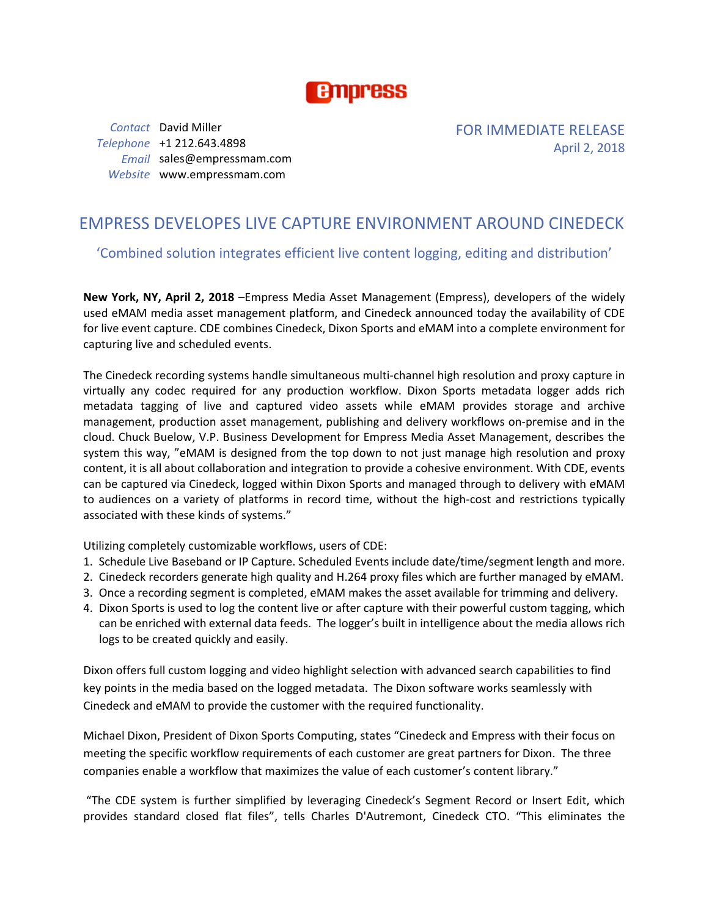

*Contact* David Miller *Telephone* +1 212.643.4898 *Email* sales@empressmam.com *Website* www.empressmam.com

FOR IMMEDIATE RELEASE April 2, 2018

# EMPRESS DEVELOPES LIVE CAPTURE ENVIRONMENT AROUND CINEDECK

### 'Combined solution integrates efficient live content logging, editing and distribution'

**New York, NY, April 2, 2018** –Empress Media Asset Management (Empress), developers of the widely used eMAM media asset management platform, and Cinedeck announced today the availability of CDE for live event capture. CDE combines Cinedeck, Dixon Sports and eMAM into a complete environment for capturing live and scheduled events.

The Cinedeck recording systems handle simultaneous multi-channel high resolution and proxy capture in virtually any codec required for any production workflow. Dixon Sports metadata logger adds rich metadata tagging of live and captured video assets while eMAM provides storage and archive management, production asset management, publishing and delivery workflows on-premise and in the cloud. Chuck Buelow, V.P. Business Development for Empress Media Asset Management, describes the system this way, "eMAM is designed from the top down to not just manage high resolution and proxy content, it is all about collaboration and integration to provide a cohesive environment. With CDE, events can be captured via Cinedeck, logged within Dixon Sports and managed through to delivery with eMAM to audiences on a variety of platforms in record time, without the high-cost and restrictions typically associated with these kinds of systems."

Utilizing completely customizable workflows, users of CDE:

- 1. Schedule Live Baseband or IP Capture. Scheduled Events include date/time/segment length and more.
- 2. Cinedeck recorders generate high quality and H.264 proxy files which are further managed by eMAM.
- 3. Once a recording segment is completed, eMAM makes the asset available for trimming and delivery.
- 4. Dixon Sports is used to log the content live or after capture with their powerful custom tagging, which can be enriched with external data feeds. The logger's built in intelligence about the media allows rich logs to be created quickly and easily.

Dixon offers full custom logging and video highlight selection with advanced search capabilities to find key points in the media based on the logged metadata. The Dixon software works seamlessly with Cinedeck and eMAM to provide the customer with the required functionality.

Michael Dixon, President of Dixon Sports Computing, states "Cinedeck and Empress with their focus on meeting the specific workflow requirements of each customer are great partners for Dixon. The three companies enable a workflow that maximizes the value of each customer's content library."

"The CDE system is further simplified by leveraging Cinedeck's Segment Record or Insert Edit, which provides standard closed flat files", tells Charles D'Autremont, Cinedeck CTO. "This eliminates the